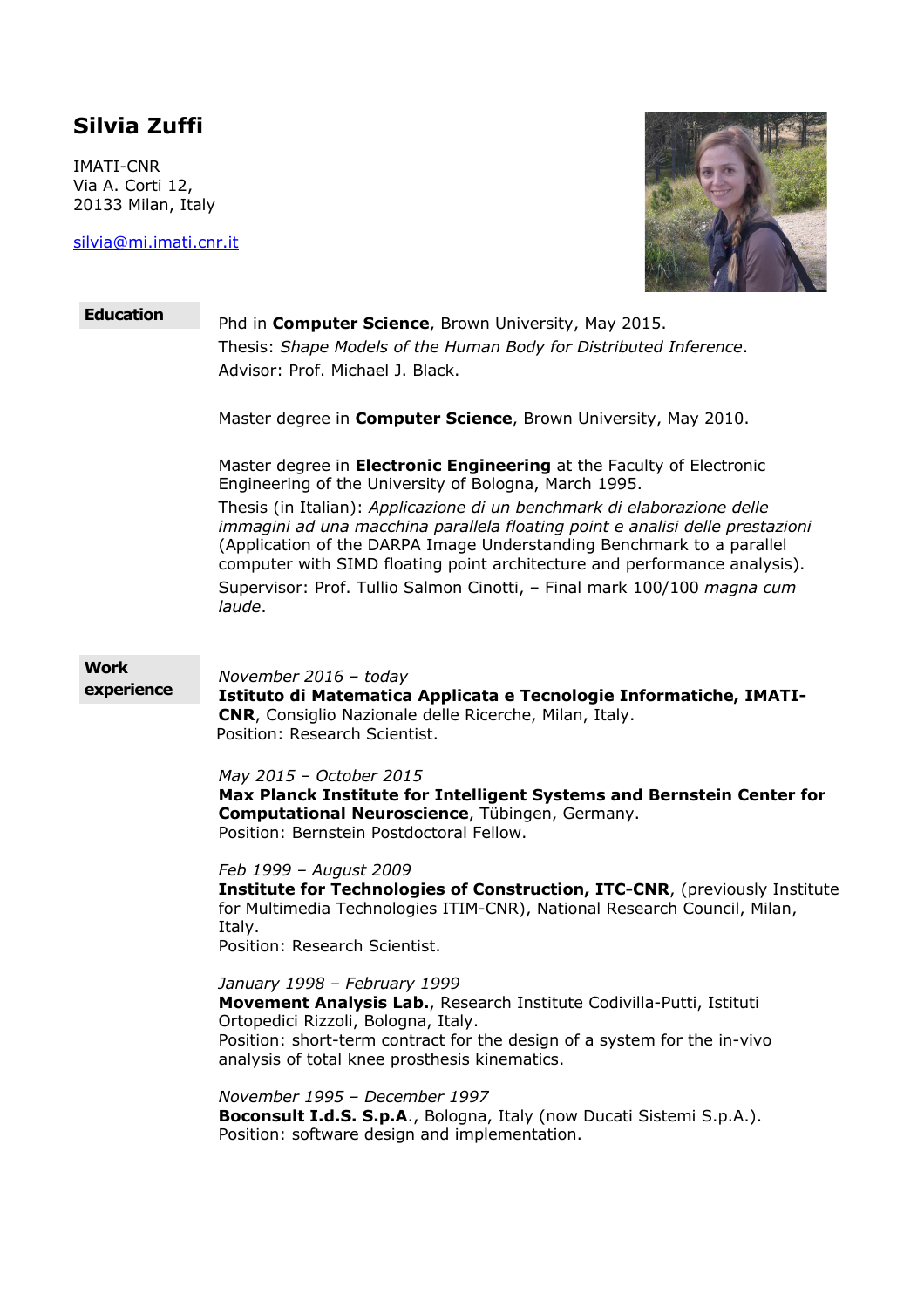# **Silvia Zuffi**

IMATI-CNR Via A. Corti 12, 20133 Milan, Italy

silvia@mi.imati.cnr.it



# **Education** Phd in **Computer Science**, Brown University, May 2015. Thesis: *Shape Models of the Human Body for Distributed Inference*. Advisor: Prof. Michael J. Black. Master degree in **Computer Science**, Brown University, May 2010. Master degree in **Electronic Engineering** at the Faculty of Electronic Engineering of the University of Bologna, March 1995. Thesis (in Italian): *Applicazione di un benchmark di elaborazione delle immagini ad una macchina parallela floating point e analisi delle prestazioni* (Application of the DARPA Image Understanding Benchmark to a parallel computer with SIMD floating point architecture and performance analysis). Supervisor: Prof. Tullio Salmon Cinotti, – Final mark 100/100 *magna cum laude*. **Work experience** *November 2016 – today* **Istituto di Matematica Applicata e Tecnologie Informatiche, IMATI-CNR**, Consiglio Nazionale delle Ricerche, Milan, Italy. Position: Research Scientist. *May 2015 – October 2015* **Max Planck Institute for Intelligent Systems and Bernstein Center for Computational Neuroscience**, Tübingen, Germany. Position: Bernstein Postdoctoral Fellow. *Feb 1999 – August 2009* **Institute for Technologies of Construction, ITC-CNR**, (previously Institute for Multimedia Technologies ITIM-CNR), National Research Council, Milan, Italy. Position: Research Scientist. *January 1998 – February 1999* **Movement Analysis Lab.**, Research Institute Codivilla-Putti, Istituti Ortopedici Rizzoli, Bologna, Italy. Position: short-term contract for the design of a system for the in-vivo analysis of total knee prosthesis kinematics. *November 1995 – December 1997* **Boconsult I.d.S. S.p.A**., Bologna, Italy (now Ducati Sistemi S.p.A.). Position: software design and implementation.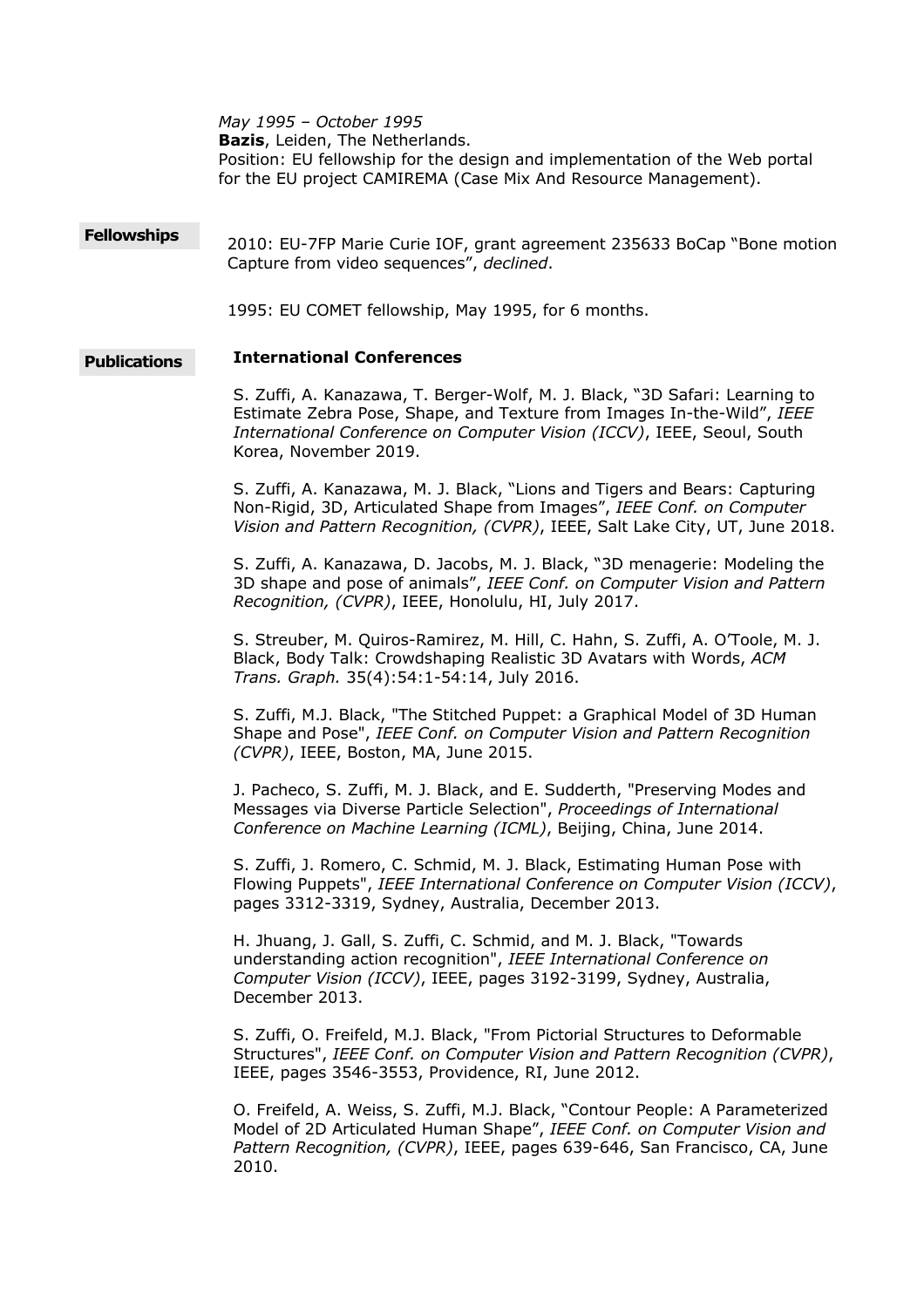*May 1995 – October 1995* **Bazis**, Leiden, The Netherlands. Position: EU fellowship for the design and implementation of the Web portal for the EU project CAMIREMA (Case Mix And Resource Management).

**Fellowships** 2010: EU-7FP Marie Curie IOF, grant agreement 235633 BoCap "Bone motion Capture from video sequences", *declined*.

1995: EU COMET fellowship, May 1995, for 6 months.

## **Publications International Conferences**

S. Zuffi, A. Kanazawa, T. Berger-Wolf, M. J. Black, "3D Safari: Learning to Estimate Zebra Pose, Shape, and Texture from Images In-the-Wild", *IEEE International Conference on Computer Vision (ICCV)*, IEEE, Seoul, South Korea, November 2019.

S. Zuffi, A. Kanazawa, M. J. Black, "Lions and Tigers and Bears: Capturing Non-Rigid, 3D, Articulated Shape from Images", *IEEE Conf. on Computer Vision and Pattern Recognition, (CVPR)*, IEEE, Salt Lake City, UT, June 2018.

S. Zuffi, A. Kanazawa, D. Jacobs, M. J. Black, "3D menagerie: Modeling the 3D shape and pose of animals", *IEEE Conf. on Computer Vision and Pattern Recognition, (CVPR)*, IEEE, Honolulu, HI, July 2017.

S. Streuber, M. Quiros-Ramirez, M. Hill, C. Hahn, S. Zuffi, A. O'Toole, M. J. Black, Body Talk: Crowdshaping Realistic 3D Avatars with Words, *ACM Trans. Graph.* 35(4):54:1-54:14, July 2016.

S. Zuffi, M.J. Black, "The Stitched Puppet: a Graphical Model of 3D Human Shape and Pose", *IEEE Conf. on Computer Vision and Pattern Recognition (CVPR)*, IEEE, Boston, MA, June 2015.

J. Pacheco, S. Zuffi, M. J. Black, and E. Sudderth, "Preserving Modes and Messages via Diverse Particle Selection", *Proceedings of International Conference on Machine Learning (ICML)*, Beijing, China, June 2014.

S. Zuffi, J. Romero, C. Schmid, M. J. Black, Estimating Human Pose with Flowing Puppets", *IEEE International Conference on Computer Vision (ICCV)*, pages 3312-3319, Sydney, Australia, December 2013.

H. Jhuang, J. Gall, S. Zuffi, C. Schmid, and M. J. Black, "Towards understanding action recognition", *IEEE International Conference on Computer Vision (ICCV)*, IEEE, pages 3192-3199, Sydney, Australia, December 2013.

S. Zuffi, O. Freifeld, M.J. Black, "From Pictorial Structures to Deformable Structures", *IEEE Conf. on Computer Vision and Pattern Recognition (CVPR)*, IEEE, pages 3546-3553, Providence, RI, June 2012.

O. Freifeld, A. Weiss, S. Zuffi, M.J. Black, "Contour People: A Parameterized Model of 2D Articulated Human Shape", *IEEE Conf. on Computer Vision and Pattern Recognition, (CVPR)*, IEEE, pages 639-646, San Francisco, CA, June 2010.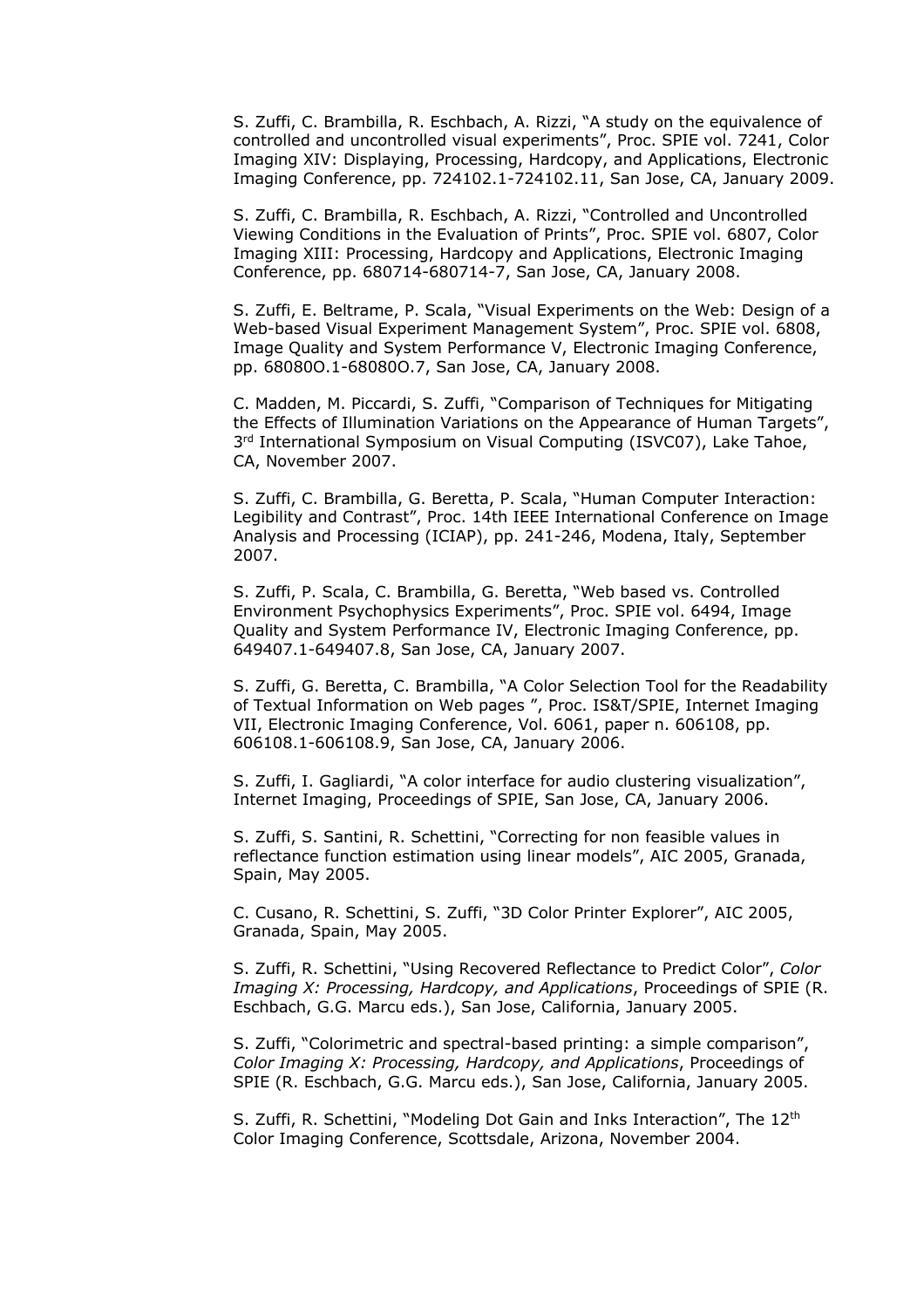S. Zuffi, C. Brambilla, R. Eschbach, A. Rizzi, "A study on the equivalence of controlled and uncontrolled visual experiments", Proc. SPIE vol. 7241, Color Imaging XIV: Displaying, Processing, Hardcopy, and Applications, Electronic Imaging Conference, pp. 724102.1-724102.11, San Jose, CA, January 2009.

S. Zuffi, C. Brambilla, R. Eschbach, A. Rizzi, "Controlled and Uncontrolled Viewing Conditions in the Evaluation of Prints", Proc. SPIE vol. 6807, Color Imaging XIII: Processing, Hardcopy and Applications, Electronic Imaging Conference, pp. 680714-680714-7, San Jose, CA, January 2008.

S. Zuffi, E. Beltrame, P. Scala, "Visual Experiments on the Web: Design of a Web-based Visual Experiment Management System", Proc. SPIE vol. 6808, Image Quality and System Performance V, Electronic Imaging Conference, pp. 68080O.1-68080O.7, San Jose, CA, January 2008.

C. Madden, M. Piccardi, S. Zuffi, "Comparison of Techniques for Mitigating the Effects of Illumination Variations on the Appearance of Human Targets", 3<sup>rd</sup> International Symposium on Visual Computing (ISVC07), Lake Tahoe, CA, November 2007.

S. Zuffi, C. Brambilla, G. Beretta, P. Scala, "Human Computer Interaction: Legibility and Contrast", Proc. 14th IEEE International Conference on Image Analysis and Processing (ICIAP), pp. 241-246, Modena, Italy, September 2007.

S. Zuffi, P. Scala, C. Brambilla, G. Beretta, "Web based vs. Controlled Environment Psychophysics Experiments", Proc. SPIE vol. 6494, Image Quality and System Performance IV, Electronic Imaging Conference, pp. 649407.1-649407.8, San Jose, CA, January 2007.

S. Zuffi, G. Beretta, C. Brambilla, "A Color Selection Tool for the Readability of Textual Information on Web pages ", Proc. IS&T/SPIE, Internet Imaging VII, Electronic Imaging Conference, Vol. 6061, paper n. 606108, pp. 606108.1-606108.9, San Jose, CA, January 2006.

S. Zuffi, I. Gagliardi, "A color interface for audio clustering visualization", Internet Imaging, Proceedings of SPIE, San Jose, CA, January 2006.

S. Zuffi, S. Santini, R. Schettini, "Correcting for non feasible values in reflectance function estimation using linear models", AIC 2005, Granada, Spain, May 2005.

C. Cusano, R. Schettini, S. Zuffi, "3D Color Printer Explorer", AIC 2005, Granada, Spain, May 2005.

S. Zuffi, R. Schettini, "Using Recovered Reflectance to Predict Color", *Color Imaging X: Processing, Hardcopy, and Applications*, Proceedings of SPIE (R. Eschbach, G.G. Marcu eds.), San Jose, California, January 2005.

S. Zuffi, "Colorimetric and spectral-based printing: a simple comparison", *Color Imaging X: Processing, Hardcopy, and Applications*, Proceedings of SPIE (R. Eschbach, G.G. Marcu eds.), San Jose, California, January 2005.

S. Zuffi, R. Schettini, "Modeling Dot Gain and Inks Interaction", The 12<sup>th</sup> Color Imaging Conference, Scottsdale, Arizona, November 2004.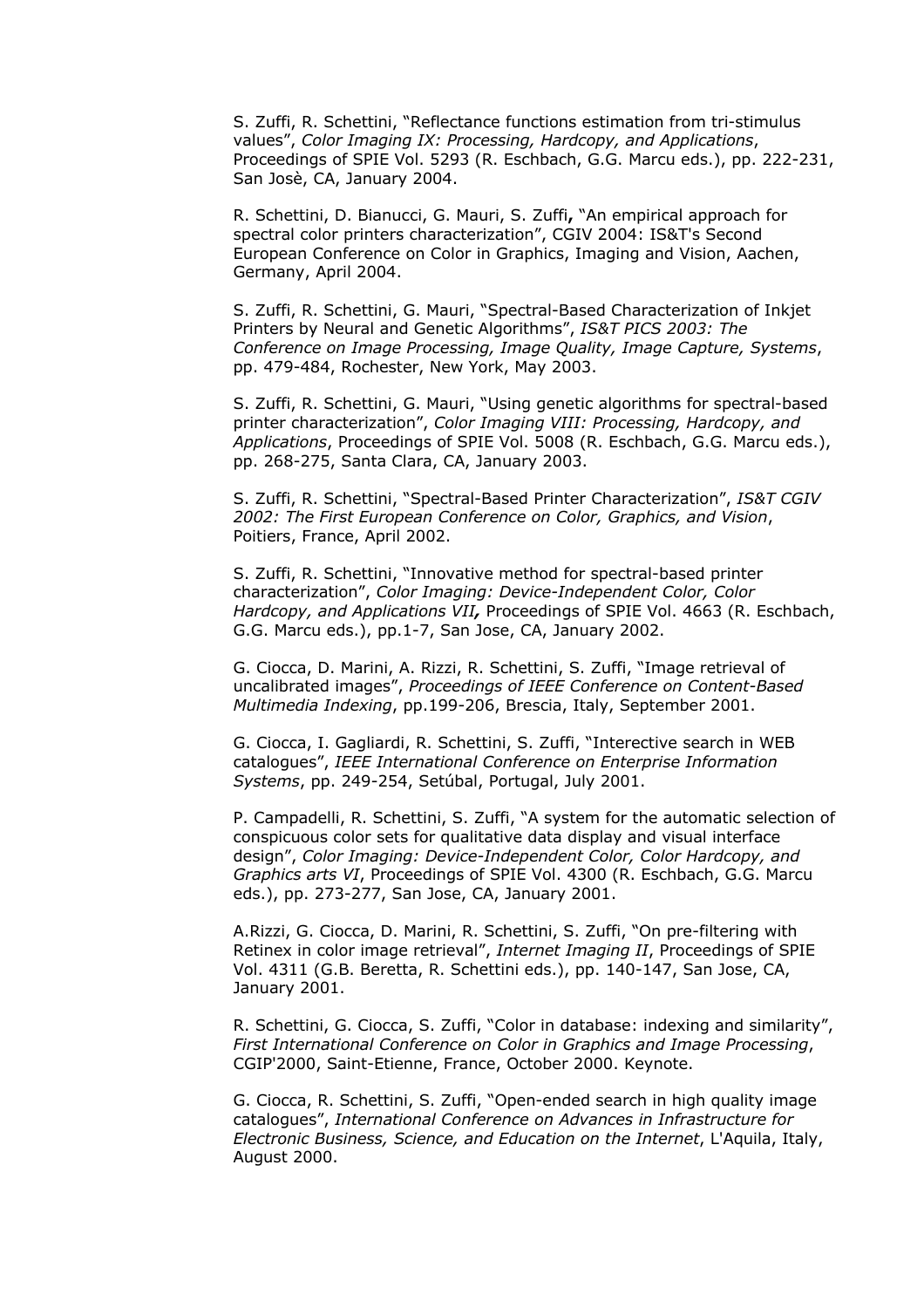S. Zuffi, R. Schettini, "Reflectance functions estimation from tri-stimulus values", *Color Imaging IX: Processing, Hardcopy, and Applications*, Proceedings of SPIE Vol. 5293 (R. Eschbach, G.G. Marcu eds.), pp. 222-231, San Josè, CA, January 2004.

R. Schettini, D. Bianucci, G. Mauri, S. Zuffi**,** "An empirical approach for spectral color printers characterization", CGIV 2004: IS&T's Second European Conference on Color in Graphics, Imaging and Vision, Aachen, Germany, April 2004.

S. Zuffi, R. Schettini, G. Mauri, "Spectral-Based Characterization of Inkjet Printers by Neural and Genetic Algorithms", *IS&T PICS 2003: The Conference on Image Processing, Image Quality, Image Capture, Systems*, pp. 479-484, Rochester, New York, May 2003.

S. Zuffi, R. Schettini, G. Mauri, "Using genetic algorithms for spectral-based printer characterization", *Color Imaging VIII: Processing, Hardcopy, and Applications*, Proceedings of SPIE Vol. 5008 (R. Eschbach, G.G. Marcu eds.), pp. 268-275, Santa Clara, CA, January 2003.

S. Zuffi, R. Schettini, "Spectral-Based Printer Characterization", *IS&T CGIV 2002: The First European Conference on Color, Graphics, and Vision*, Poitiers, France, April 2002.

S. Zuffi, R. Schettini, "Innovative method for spectral-based printer characterization", *Color Imaging: Device-Independent Color, Color Hardcopy, and Applications VII,* Proceedings of SPIE Vol. 4663 (R. Eschbach, G.G. Marcu eds.), pp.1-7, San Jose, CA, January 2002.

G. Ciocca, D. Marini, A. Rizzi, R. Schettini, S. Zuffi, "Image retrieval of uncalibrated images", *Proceedings of IEEE Conference on Content-Based Multimedia Indexing*, pp.199-206, Brescia, Italy, September 2001.

G. Ciocca, I. Gagliardi, R. Schettini, S. Zuffi, "Interective search in WEB catalogues", *IEEE International Conference on Enterprise Information Systems*, pp. 249-254, Setúbal, Portugal, July 2001.

P. Campadelli, R. Schettini, S. Zuffi, "A system for the automatic selection of conspicuous color sets for qualitative data display and visual interface design", *Color Imaging: Device-Independent Color, Color Hardcopy, and Graphics arts VI*, Proceedings of SPIE Vol. 4300 (R. Eschbach, G.G. Marcu eds.), pp. 273-277, San Jose, CA, January 2001.

A.Rizzi, G. Ciocca, D. Marini, R. Schettini, S. Zuffi, "On pre-filtering with Retinex in color image retrieval", *Internet Imaging II*, Proceedings of SPIE Vol. 4311 (G.B. Beretta, R. Schettini eds.), pp. 140-147, San Jose, CA, January 2001.

R. Schettini, G. Ciocca, S. Zuffi, "Color in database: indexing and similarity", *First International Conference on Color in Graphics and Image Processing*, CGIP'2000, Saint-Etienne, France, October 2000. Keynote.

G. Ciocca, R. Schettini, S. Zuffi, "Open-ended search in high quality image catalogues", *International Conference on Advances in Infrastructure for Electronic Business, Science, and Education on the Internet*, L'Aquila, Italy, August 2000.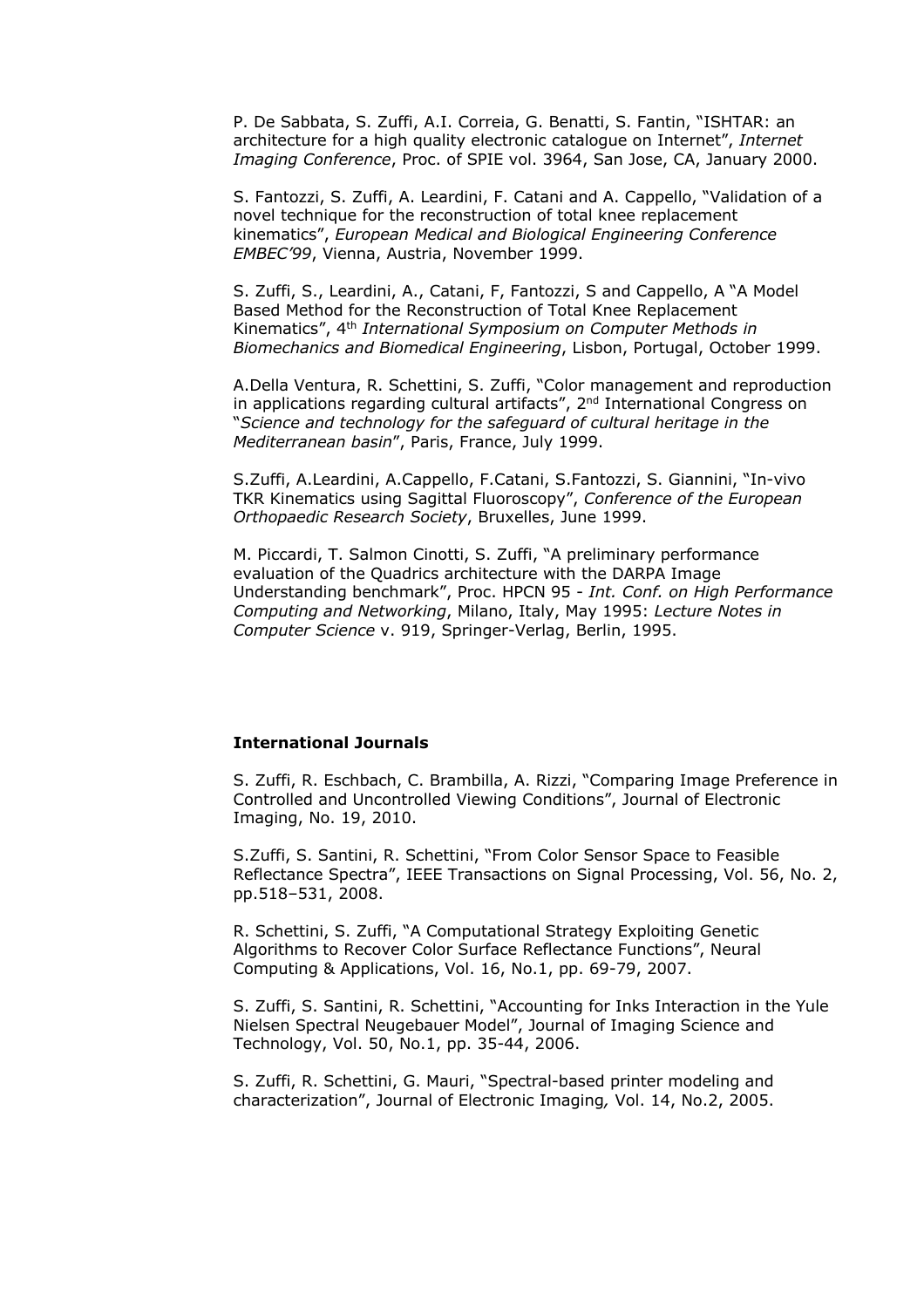P. De Sabbata, S. Zuffi, A.I. Correia, G. Benatti, S. Fantin, "ISHTAR: an architecture for a high quality electronic catalogue on Internet", *Internet Imaging Conference*, Proc. of SPIE vol. 3964, San Jose, CA, January 2000.

S. Fantozzi, S. Zuffi, A. Leardini, F. Catani and A. Cappello, "Validation of a novel technique for the reconstruction of total knee replacement kinematics", *European Medical and Biological Engineering Conference EMBEC'99*, Vienna, Austria, November 1999.

S. Zuffi, S., Leardini, A., Catani, F, Fantozzi, S and Cappello, A "A Model Based Method for the Reconstruction of Total Knee Replacement Kinematics", 4th *International Symposium on Computer Methods in Biomechanics and Biomedical Engineering*, Lisbon, Portugal, October 1999.

A.Della Ventura, R. Schettini, S. Zuffi, "Color management and reproduction in applications regarding cultural artifacts", 2<sup>nd</sup> International Congress on "*Science and technology for the safeguard of cultural heritage in the Mediterranean basin*", Paris, France, July 1999.

S.Zuffi, A.Leardini, A.Cappello, F.Catani, S.Fantozzi, S. Giannini, "In-vivo TKR Kinematics using Sagittal Fluoroscopy", *Conference of the European Orthopaedic Research Society*, Bruxelles, June 1999.

M. Piccardi, T. Salmon Cinotti, S. Zuffi, "A preliminary performance evaluation of the Quadrics architecture with the DARPA Image Understanding benchmark", Proc. HPCN 95 - *Int. Conf. on High Performance Computing and Networking*, Milano, Italy, May 1995: *Lecture Notes in Computer Science* v. 919, Springer-Verlag, Berlin, 1995.

# **International Journals**

S. Zuffi, R. Eschbach, C. Brambilla, A. Rizzi, "Comparing Image Preference in Controlled and Uncontrolled Viewing Conditions", Journal of Electronic Imaging, No. 19, 2010.

S.Zuffi, S. Santini, R. Schettini, "From Color Sensor Space to Feasible Reflectance Spectra", IEEE Transactions on Signal Processing, Vol. 56, No. 2, pp.518–531, 2008.

R. Schettini, S. Zuffi, "A Computational Strategy Exploiting Genetic Algorithms to Recover Color Surface Reflectance Functions", Neural Computing & Applications, Vol. 16, No.1, pp. 69-79, 2007.

S. Zuffi, S. Santini, R. Schettini, "Accounting for Inks Interaction in the Yule Nielsen Spectral Neugebauer Model", Journal of Imaging Science and Technology, Vol. 50, No.1, pp. 35-44, 2006.

S. Zuffi, R. Schettini, G. Mauri, "Spectral-based printer modeling and characterization", Journal of Electronic Imaging*,* Vol. 14, No.2, 2005.